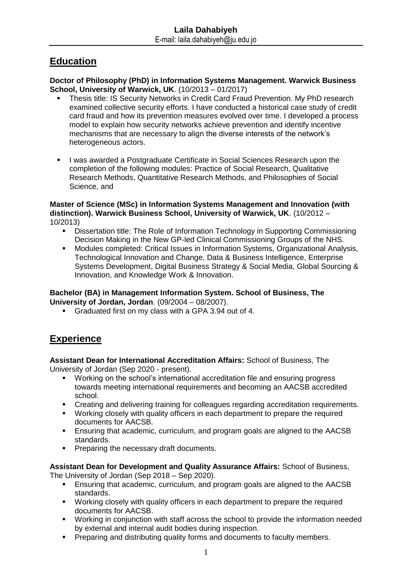## **Education**

**Doctor of Philosophy (PhD) in Information Systems Management. Warwick Business School, University of Warwick, UK**. (10/2013 – 01/2017)

- Thesis title: IS Security Networks in Credit Card Fraud Prevention. My PhD research examined collective security efforts. I have conducted a historical case study of credit card fraud and how its prevention measures evolved over time. I developed a process model to explain how security networks achieve prevention and identify incentive mechanisms that are necessary to align the diverse interests of the network's heterogeneous actors.
- I was awarded a Postgraduate Certificate in Social Sciences Research upon the completion of the following modules: Practice of Social Research, Qualitative Research Methods, Quantitative Research Methods, and Philosophies of Social Science, and

#### **Master of Science (MSc) in Information Systems Management and Innovation (with distinction). Warwick Business School, University of Warwick, UK**. (10/2012 – 10/2013)

- Dissertation title: The Role of Information Technology in Supporting Commissioning Decision Making in the New GP-led Clinical Commissioning Groups of the NHS.
- Modules completed: Critical Issues in Information Systems, Organizational Analysis, Technological Innovation and Change, Data & Business Intelligence, Enterprise Systems Development, Digital Business Strategy & Social Media, Global Sourcing & Innovation, and Knowledge Work & Innovation.

#### **Bachelor (BA) in Management Information System. School of Business, The University of Jordan, Jordan**. (09/2004 – 08/2007).

Graduated first on my class with a GPA 3.94 out of 4.

# **Experience**

**Assistant Dean for International Accreditation Affairs:** School of Business, The University of Jordan (Sep 2020 - present).

- Working on the school's international accreditation file and ensuring progress towards meeting international requirements and becoming an AACSB accredited school.
- Creating and delivering training for colleagues regarding accreditation requirements.
- Working closely with quality officers in each department to prepare the required documents for AACSB.
- Ensuring that academic, curriculum, and program goals are aligned to the AACSB standards.
- **Preparing the necessary draft documents.**

**Assistant Dean for Development and Quality Assurance Affairs:** School of Business,

The University of Jordan (Sep 2018 – Sep 2020).

- Ensuring that academic, curriculum, and program goals are aligned to the AACSB standards.
- **Working closely with quality officers in each department to prepare the required** documents for AACSB.
- Working in conjunction with staff across the school to provide the information needed by external and internal audit bodies during inspection.
- **Preparing and distributing quality forms and documents to faculty members.**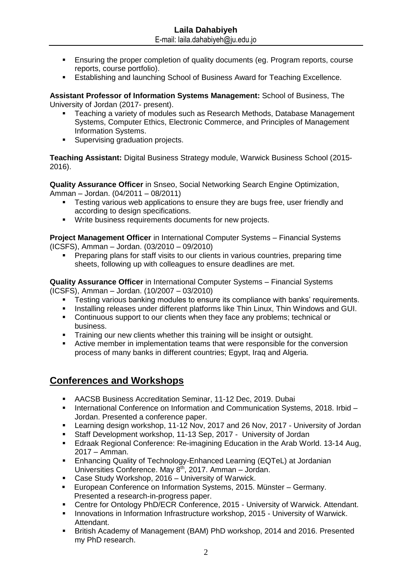- Ensuring the proper completion of quality documents (eg. Program reports, course reports, course portfolio).
- Establishing and launching School of Business Award for Teaching Excellence.

**Assistant Professor of Information Systems Management:** School of Business, The University of Jordan (2017- present).

- Teaching a variety of modules such as Research Methods, Database Management Systems, Computer Ethics, Electronic Commerce, and Principles of Management Information Systems.
- Supervising graduation projects.

**Teaching Assistant:** Digital Business Strategy module, Warwick Business School (2015- 2016).

**Quality Assurance Officer** in Snseo, Social Networking Search Engine Optimization, Amman – Jordan. (04/2011 – 08/2011)

- Testing various web applications to ensure they are bugs free, user friendly and according to design specifications.
- Write business requirements documents for new projects.

**Project Management Officer** in International Computer Systems – Financial Systems (ICSFS), Amman – Jordan. (03/2010 – 09/2010)

 Preparing plans for staff visits to our clients in various countries, preparing time sheets, following up with colleagues to ensure deadlines are met.

**Quality Assurance Officer** in International Computer Systems – Financial Systems (ICSFS), Amman – Jordan. (10/2007 – 03/2010)

- Testing various banking modules to ensure its compliance with banks' requirements.
- Installing releases under different platforms like Thin Linux, Thin Windows and GUI.
- Continuous support to our clients when they face any problems; technical or business.
- **Training our new clients whether this training will be insight or outsight.**
- Active member in implementation teams that were responsible for the conversion process of many banks in different countries; Egypt, Iraq and Algeria.

### **Conferences and Workshops**

- AACSB Business Accreditation Seminar, 11-12 Dec, 2019. Dubai
- International Conference on Information and Communication Systems, 2018. Irbid -Jordan. Presented a conference paper.
- Learning design workshop, 11-12 Nov, 2017 and 26 Nov, 2017 University of Jordan
- Staff Development workshop, 11-13 Sep, 2017 University of Jordan
- Edraak Regional Conference: Re-imagining Education in the Arab World. 13-14 Aug, 2017 – Amman.
- Enhancing Quality of Technology-Enhanced Learning (EQTeL) at Jordanian Universities Conference. May 8<sup>th</sup>, 2017. Amman - Jordan.
- Case Study Workshop, 2016 University of Warwick.
- European Conference on Information Systems, 2015. Münster Germany. Presented a research-in-progress paper.
- Centre for Ontology PhD/ECR Conference, 2015 University of Warwick. Attendant.
- **Innovations in Information Infrastructure workshop, 2015 University of Warwick.** Attendant.
- British Academy of Management (BAM) PhD workshop, 2014 and 2016. Presented my PhD research.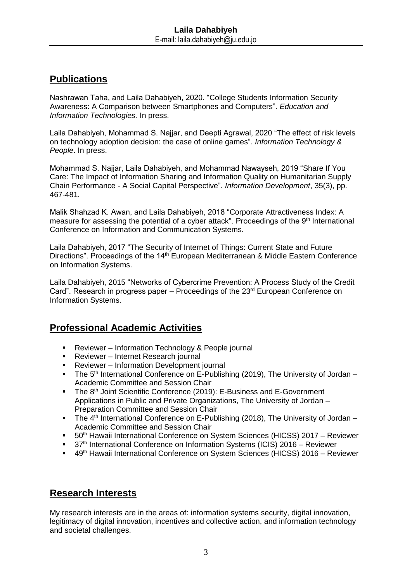# **Publications**

Nashrawan Taha, and Laila Dahabiyeh, 2020. "College Students Information Security Awareness: A Comparison between Smartphones and Computers". *Education and Information Technologies.* In press.

Laila Dahabiyeh, Mohammad S. Najjar, and Deepti Agrawal, 2020 "The effect of risk levels on technology adoption decision: the case of online games". *Information Technology & People*. In press.

Mohammad S. Najjar, Laila Dahabiyeh, and Mohammad Nawayseh, 2019 "Share If You Care: The Impact of Information Sharing and Information Quality on Humanitarian Supply Chain Performance - A Social Capital Perspective". *Information Development*, 35(3), pp. 467-481.

Malik Shahzad K. Awan, and Laila Dahabiyeh, 2018 "Corporate Attractiveness Index: A measure for assessing the potential of a cyber attack". Proceedings of the 9<sup>th</sup> International Conference on Information and Communication Systems.

Laila Dahabiyeh, 2017 "The Security of Internet of Things: Current State and Future Directions". Proceedings of the 14<sup>th</sup> European Mediterranean & Middle Eastern Conference on Information Systems.

Laila Dahabiyeh, 2015 "Networks of Cybercrime Prevention: A Process Study of the Credit Card". Research in progress paper – Proceedings of the  $23<sup>rd</sup>$  European Conference on Information Systems.

## **Professional Academic Activities**

- Reviewer Information Technology & People journal
- **Reviewer Internet Research journal**
- **Reviewer Information Development journal**
- The 5<sup>th</sup> International Conference on E-Publishing (2019), The University of Jordan Academic Committee and Session Chair
- The 8<sup>th</sup> Joint Scientific Conference (2019): E-Business and E-Government Applications in Public and Private Organizations, The University of Jordan – Preparation Committee and Session Chair
- The  $4<sup>th</sup>$  International Conference on E-Publishing (2018), The University of Jordan Academic Committee and Session Chair
- 50<sup>th</sup> Hawaii International Conference on System Sciences (HICSS) 2017 Reviewer
- 37<sup>th</sup> International Conference on Information Systems (ICIS) 2016 Reviewer
- 49<sup>th</sup> Hawaii International Conference on System Sciences (HICSS) 2016 Reviewer

### **Research Interests**

My research interests are in the areas of: information systems security, digital innovation, legitimacy of digital innovation, incentives and collective action, and information technology and societal challenges.